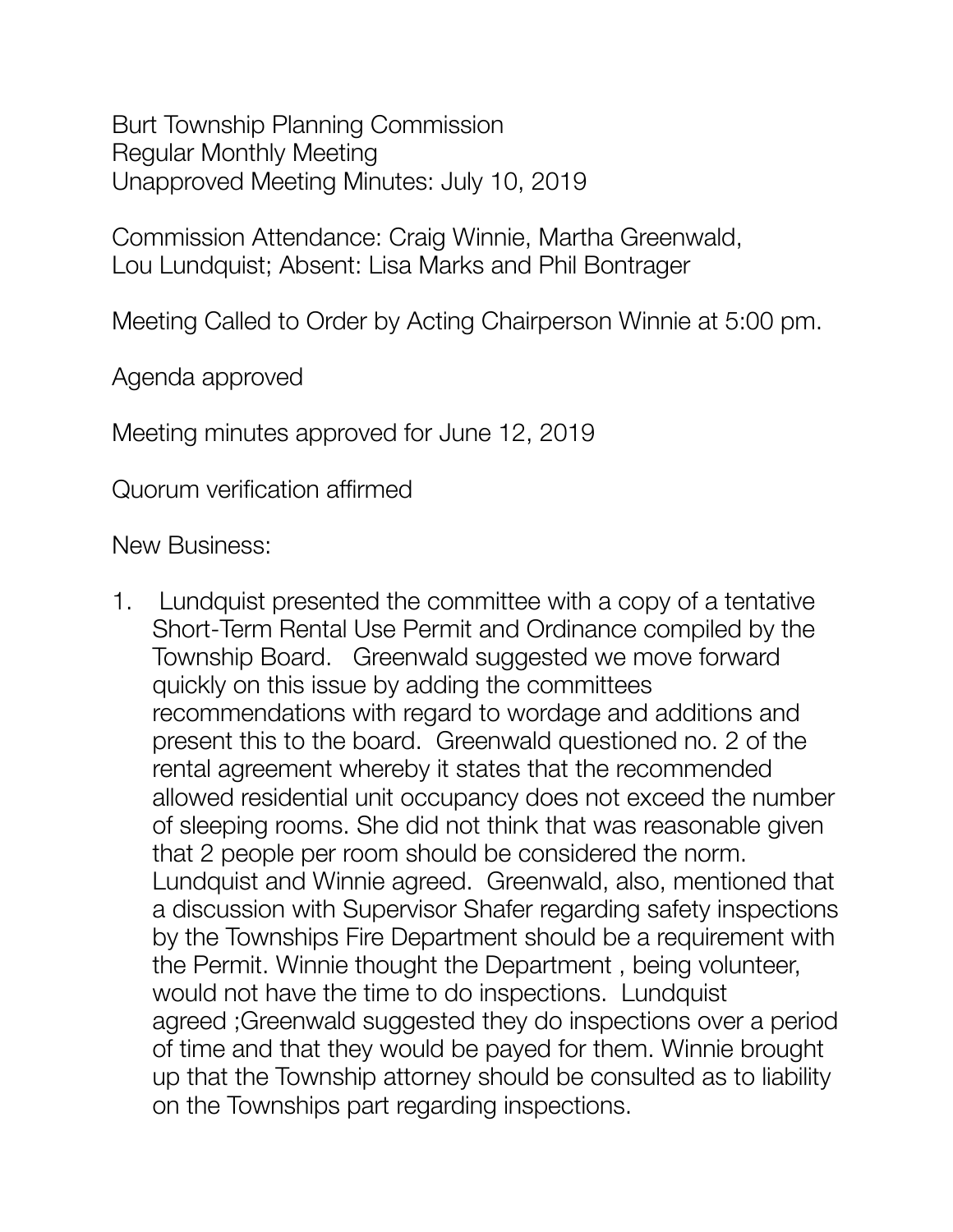Burt Township Planning Commission Regular Monthly Meeting Unapproved Meeting Minutes: July 10, 2019

Commission Attendance: Craig Winnie, Martha Greenwald, Lou Lundquist; Absent: Lisa Marks and Phil Bontrager

Meeting Called to Order by Acting Chairperson Winnie at 5:00 pm.

Agenda approved

Meeting minutes approved for June 12, 2019

Quorum verification affirmed

New Business:

1. Lundquist presented the committee with a copy of a tentative Short-Term Rental Use Permit and Ordinance compiled by the Township Board. Greenwald suggested we move forward quickly on this issue by adding the committees recommendations with regard to wordage and additions and present this to the board. Greenwald questioned no. 2 of the rental agreement whereby it states that the recommended allowed residential unit occupancy does not exceed the number of sleeping rooms. She did not think that was reasonable given that 2 people per room should be considered the norm. Lundquist and Winnie agreed. Greenwald, also, mentioned that a discussion with Supervisor Shafer regarding safety inspections by the Townships Fire Department should be a requirement with the Permit. Winnie thought the Department , being volunteer, would not have the time to do inspections. Lundquist agreed ;Greenwald suggested they do inspections over a period of time and that they would be payed for them. Winnie brought up that the Township attorney should be consulted as to liability on the Townships part regarding inspections.